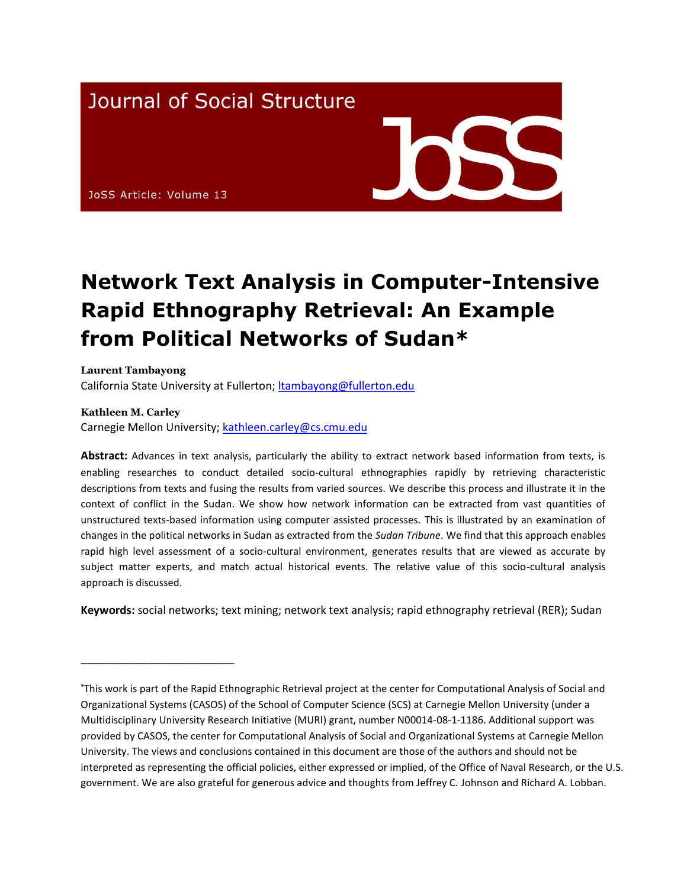## **Journal of Social Structure**

JoSS Article: Volume 13

# **Network Text Analysis in Computer-Intensive Rapid Ethnography Retrieval: An Example from Political Networks of Sudan\***

**Laurent Tambayong** California State University at Fullerton; [ltambayong@fullerton.edu](mailto:ltambayong@fullerton.edu)

#### **Kathleen M. Carley**

\_\_\_\_\_\_\_\_\_\_\_\_\_\_\_\_\_\_\_\_\_\_\_\_\_

Carnegie Mellon University; [kathleen.carley@cs.cmu.edu](mailto:kathleen.carley@cs.cmu.edu)

**Abstract:** Advances in text analysis, particularly the ability to extract network based information from texts, is enabling researches to conduct detailed socio-cultural ethnographies rapidly by retrieving characteristic descriptions from texts and fusing the results from varied sources. We describe this process and illustrate it in the context of conflict in the Sudan. We show how network information can be extracted from vast quantities of unstructured texts-based information using computer assisted processes. This is illustrated by an examination of changes in the political networks in Sudan as extracted from the *Sudan Tribune*. We find that this approach enables rapid high level assessment of a socio-cultural environment, generates results that are viewed as accurate by subject matter experts, and match actual historical events. The relative value of this socio-cultural analysis approach is discussed.

**Keywords:** social networks; text mining; network text analysis; rapid ethnography retrieval (RER); Sudan

**<sup>\*</sup>**This work is part of the Rapid Ethnographic Retrieval project at the center for Computational Analysis of Social and Organizational Systems (CASOS) of the School of Computer Science (SCS) at Carnegie Mellon University (under a Multidisciplinary University Research Initiative (MURI) grant, number N00014-08-1-1186. Additional support was provided by CASOS, the center for Computational Analysis of Social and Organizational Systems at Carnegie Mellon University. The views and conclusions contained in this document are those of the authors and should not be interpreted as representing the official policies, either expressed or implied, of the Office of Naval Research, or the U.S. government. We are also grateful for generous advice and thoughts from Jeffrey C. Johnson and Richard A. Lobban.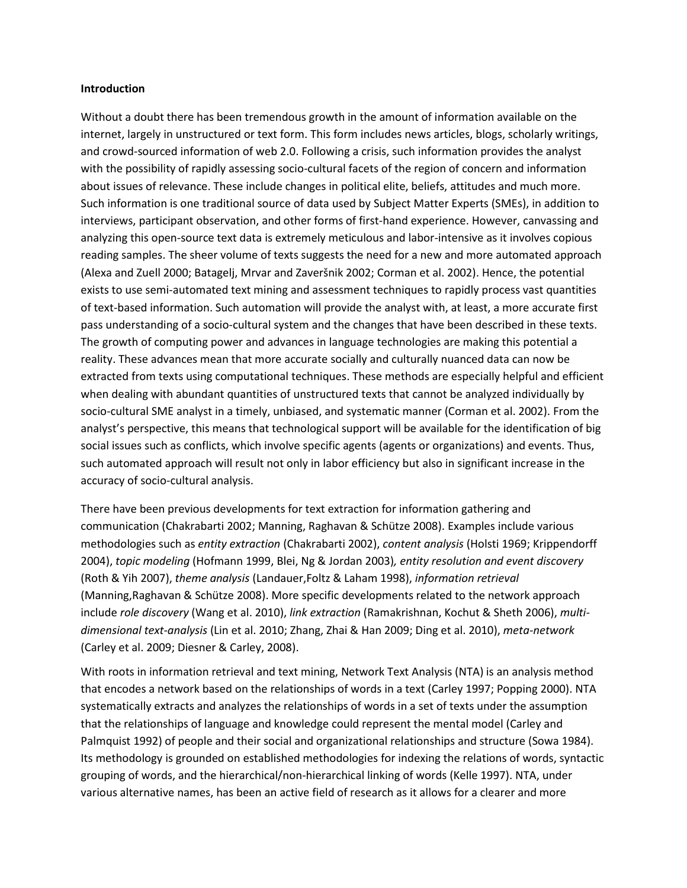#### **Introduction**

Without a doubt there has been tremendous growth in the amount of information available on the internet, largely in unstructured or text form. This form includes news articles, blogs, scholarly writings, and crowd-sourced information of web 2.0. Following a crisis, such information provides the analyst with the possibility of rapidly assessing socio-cultural facets of the region of concern and information about issues of relevance. These include changes in political elite, beliefs, attitudes and much more. Such information is one traditional source of data used by Subject Matter Experts (SMEs), in addition to interviews, participant observation, and other forms of first-hand experience. However, canvassing and analyzing this open-source text data is extremely meticulous and labor-intensive as it involves copious reading samples. The sheer volume of texts suggests the need for a new and more automated approach (Alexa and Zuell 2000; Batagelj, Mrvar and Zaveršnik 2002; Corman et al. 2002). Hence, the potential exists to use semi-automated text mining and assessment techniques to rapidly process vast quantities of text-based information. Such automation will provide the analyst with, at least, a more accurate first pass understanding of a socio-cultural system and the changes that have been described in these texts. The growth of computing power and advances in language technologies are making this potential a reality. These advances mean that more accurate socially and culturally nuanced data can now be extracted from texts using computational techniques. These methods are especially helpful and efficient when dealing with abundant quantities of unstructured texts that cannot be analyzed individually by socio-cultural SME analyst in a timely, unbiased, and systematic manner (Corman et al. 2002). From the analyst's perspective, this means that technological support will be available for the identification of big social issues such as conflicts, which involve specific agents (agents or organizations) and events. Thus, such automated approach will result not only in labor efficiency but also in significant increase in the accuracy of socio-cultural analysis.

There have been previous developments for text extraction for information gathering and communication (Chakrabarti 2002; Manning, Raghavan & Schütze 2008). Examples include various methodologies such as *entity extraction* (Chakrabarti 2002), *content analysis* (Holsti 1969; Krippendorff 2004), *topic modeling* (Hofmann 1999, Blei, Ng & Jordan 2003)*, entity resolution and event discovery* (Roth & Yih 2007), *theme analysis* (Landauer,Foltz & Laham 1998), *information retrieval* (Manning,Raghavan & Schütze 2008). More specific developments related to the network approach include *role discovery* (Wang et al. 2010), *link extraction* (Ramakrishnan, Kochut & Sheth 2006), *multidimensional text-analysis* (Lin et al. 2010; Zhang, Zhai & Han 2009; Ding et al. 2010), *meta-network*  (Carley et al. 2009; Diesner & Carley, 2008).

With roots in information retrieval and text mining, Network Text Analysis (NTA) is an analysis method that encodes a network based on the relationships of words in a text (Carley 1997; Popping 2000). NTA systematically extracts and analyzes the relationships of words in a set of texts under the assumption that the relationships of language and knowledge could represent the mental model (Carley and Palmquist 1992) of people and their social and organizational relationships and structure (Sowa 1984). Its methodology is grounded on established methodologies for indexing the relations of words, syntactic grouping of words, and the hierarchical/non-hierarchical linking of words (Kelle 1997). NTA, under various alternative names, has been an active field of research as it allows for a clearer and more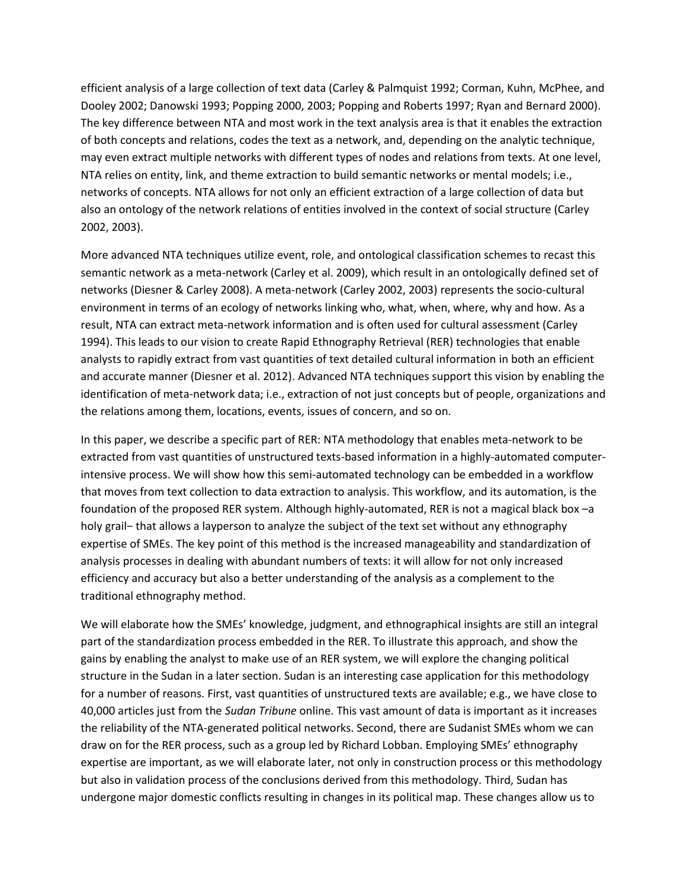efficient analysis of a large collection of text data (Carley & Palmquist 1992; Corman, Kuhn, McPhee, and Dooley 2002; Danowski 1993; Popping 2000, 2003; Popping and Roberts 1997; Ryan and Bernard 2000). The key difference between NTA and most work in the text analysis area is that it enables the extraction of both concepts and relations, codes the text as a network, and, depending on the analytic technique, may even extract multiple networks with different types of nodes and relations from texts. At one level, NTA relies on entity, link, and theme extraction to build semantic networks or mental models; i.e., networks of concepts. NTA allows for not only an efficient extraction of a large collection of data but also an ontology of the network relations of entities involved in the context of social structure (Carley 2002, 2003).

More advanced NTA techniques utilize event, role, and ontological classification schemes to recast this semantic network as a meta-network (Carley et al. 2009), which result in an ontologically defined set of networks (Diesner & Carley 2008). A meta-network (Carley 2002, 2003) represents the socio-cultural environment in terms of an ecology of networks linking who, what, when, where, why and how. As a result, NTA can extract meta-network information and is often used for cultural assessment (Carley 1994). This leads to our vision to create Rapid Ethnography Retrieval (RER) technologies that enable analysts to rapidly extract from vast quantities of text detailed cultural information in both an efficient and accurate manner (Diesner et al. 2012). Advanced NTA techniques support this vision by enabling the identification of meta-network data; i.e., extraction of not just concepts but of people, organizations and the relations among them, locations, events, issues of concern, and so on.

In this paper, we describe a specific part of RER: NTA methodology that enables meta-network to be extracted from vast quantities of unstructured texts-based information in a highly-automated computerintensive process. We will show how this semi-automated technology can be embedded in a workflow that moves from text collection to data extraction to analysis. This workflow, and its automation, is the foundation of the proposed RER system. Although highly-automated, RER is not a magical black box –a holy grail− that allows a layperson to analyze the subject of the text set without any ethnography expertise of SMEs. The key point of this method is the increased manageability and standardization of analysis processes in dealing with abundant numbers of texts: it will allow for not only increased efficiency and accuracy but also a better understanding of the analysis as a complement to the traditional ethnography method.

We will elaborate how the SMEs' knowledge, judgment, and ethnographical insights are still an integral part of the standardization process embedded in the RER. To illustrate this approach, and show the gains by enabling the analyst to make use of an RER system, we will explore the changing political structure in the Sudan in a later section. Sudan is an interesting case application for this methodology for a number of reasons. First, vast quantities of unstructured texts are available; e.g., we have close to 40,000 articles just from the *Sudan Tribune* online. This vast amount of data is important as it increases the reliability of the NTA-generated political networks. Second, there are Sudanist SMEs whom we can draw on for the RER process, such as a group led by Richard Lobban. Employing SMEs' ethnography expertise are important, as we will elaborate later, not only in construction process or this methodology but also in validation process of the conclusions derived from this methodology. Third, Sudan has undergone major domestic conflicts resulting in changes in its political map. These changes allow us to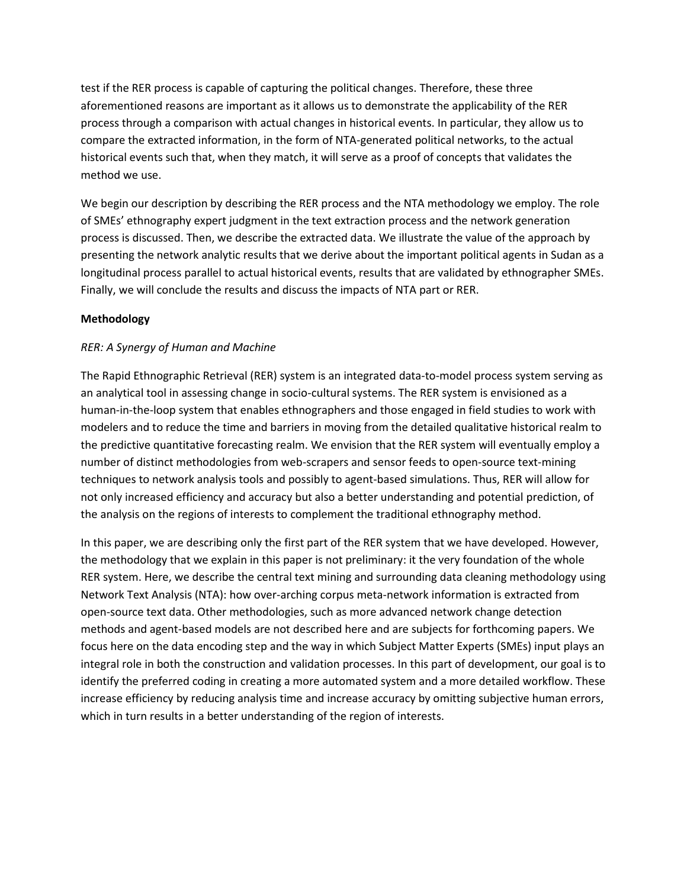test if the RER process is capable of capturing the political changes. Therefore, these three aforementioned reasons are important as it allows us to demonstrate the applicability of the RER process through a comparison with actual changes in historical events. In particular, they allow us to compare the extracted information, in the form of NTA-generated political networks, to the actual historical events such that, when they match, it will serve as a proof of concepts that validates the method we use.

We begin our description by describing the RER process and the NTA methodology we employ. The role of SMEs' ethnography expert judgment in the text extraction process and the network generation process is discussed. Then, we describe the extracted data. We illustrate the value of the approach by presenting the network analytic results that we derive about the important political agents in Sudan as a longitudinal process parallel to actual historical events, results that are validated by ethnographer SMEs. Finally, we will conclude the results and discuss the impacts of NTA part or RER.

## **Methodology**

## *RER: A Synergy of Human and Machine*

The Rapid Ethnographic Retrieval (RER) system is an integrated data-to-model process system serving as an analytical tool in assessing change in socio-cultural systems. The RER system is envisioned as a human-in-the-loop system that enables ethnographers and those engaged in field studies to work with modelers and to reduce the time and barriers in moving from the detailed qualitative historical realm to the predictive quantitative forecasting realm. We envision that the RER system will eventually employ a number of distinct methodologies from web-scrapers and sensor feeds to open-source text-mining techniques to network analysis tools and possibly to agent-based simulations. Thus, RER will allow for not only increased efficiency and accuracy but also a better understanding and potential prediction, of the analysis on the regions of interests to complement the traditional ethnography method.

In this paper, we are describing only the first part of the RER system that we have developed. However, the methodology that we explain in this paper is not preliminary: it the very foundation of the whole RER system. Here, we describe the central text mining and surrounding data cleaning methodology using Network Text Analysis (NTA): how over-arching corpus meta-network information is extracted from open-source text data. Other methodologies, such as more advanced network change detection methods and agent-based models are not described here and are subjects for forthcoming papers. We focus here on the data encoding step and the way in which Subject Matter Experts (SMEs) input plays an integral role in both the construction and validation processes. In this part of development, our goal is to identify the preferred coding in creating a more automated system and a more detailed workflow. These increase efficiency by reducing analysis time and increase accuracy by omitting subjective human errors, which in turn results in a better understanding of the region of interests.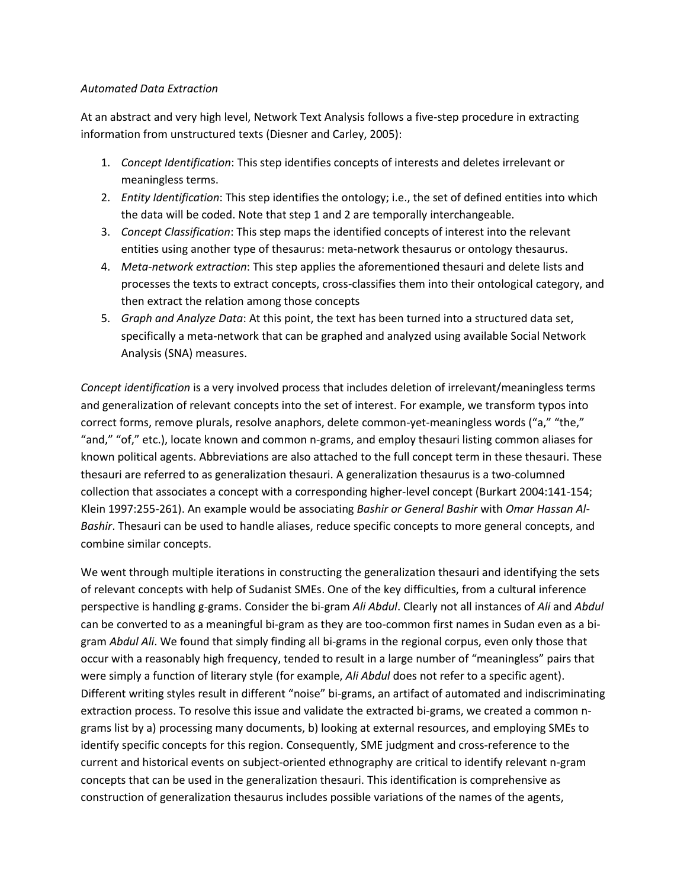#### *Automated Data Extraction*

At an abstract and very high level, Network Text Analysis follows a five-step procedure in extracting information from unstructured texts (Diesner and Carley, 2005):

- 1. *Concept Identification*: This step identifies concepts of interests and deletes irrelevant or meaningless terms.
- 2. *Entity Identification*: This step identifies the ontology; i.e., the set of defined entities into which the data will be coded. Note that step 1 and 2 are temporally interchangeable.
- 3. *Concept Classification*: This step maps the identified concepts of interest into the relevant entities using another type of thesaurus: meta-network thesaurus or ontology thesaurus.
- 4. *Meta-network extraction*: This step applies the aforementioned thesauri and delete lists and processes the texts to extract concepts, cross-classifies them into their ontological category, and then extract the relation among those concepts
- 5. *Graph and Analyze Data*: At this point, the text has been turned into a structured data set, specifically a meta-network that can be graphed and analyzed using available Social Network Analysis (SNA) measures.

*Concept identification* is a very involved process that includes deletion of irrelevant/meaningless terms and generalization of relevant concepts into the set of interest. For example, we transform typos into correct forms, remove plurals, resolve anaphors, delete common-yet-meaningless words ("a," "the," "and," "of," etc.), locate known and common n-grams, and employ thesauri listing common aliases for known political agents. Abbreviations are also attached to the full concept term in these thesauri. These thesauri are referred to as generalization thesauri. A generalization thesaurus is a two-columned collection that associates a concept with a corresponding higher-level concept (Burkart 2004:141-154; Klein 1997:255-261). An example would be associating *Bashir or General Bashir* with *Omar Hassan Al-Bashir*. Thesauri can be used to handle aliases, reduce specific concepts to more general concepts, and combine similar concepts.

We went through multiple iterations in constructing the generalization thesauri and identifying the sets of relevant concepts with help of Sudanist SMEs. One of the key difficulties, from a cultural inference perspective is handling g-grams. Consider the bi-gram *Ali Abdul*. Clearly not all instances of *Ali* and *Abdul* can be converted to as a meaningful bi-gram as they are too-common first names in Sudan even as a bigram *Abdul Ali*. We found that simply finding all bi-grams in the regional corpus, even only those that occur with a reasonably high frequency, tended to result in a large number of "meaningless" pairs that were simply a function of literary style (for example, *Ali Abdul* does not refer to a specific agent). Different writing styles result in different "noise" bi-grams, an artifact of automated and indiscriminating extraction process. To resolve this issue and validate the extracted bi-grams, we created a common ngrams list by a) processing many documents, b) looking at external resources, and employing SMEs to identify specific concepts for this region. Consequently, SME judgment and cross-reference to the current and historical events on subject-oriented ethnography are critical to identify relevant n-gram concepts that can be used in the generalization thesauri. This identification is comprehensive as construction of generalization thesaurus includes possible variations of the names of the agents,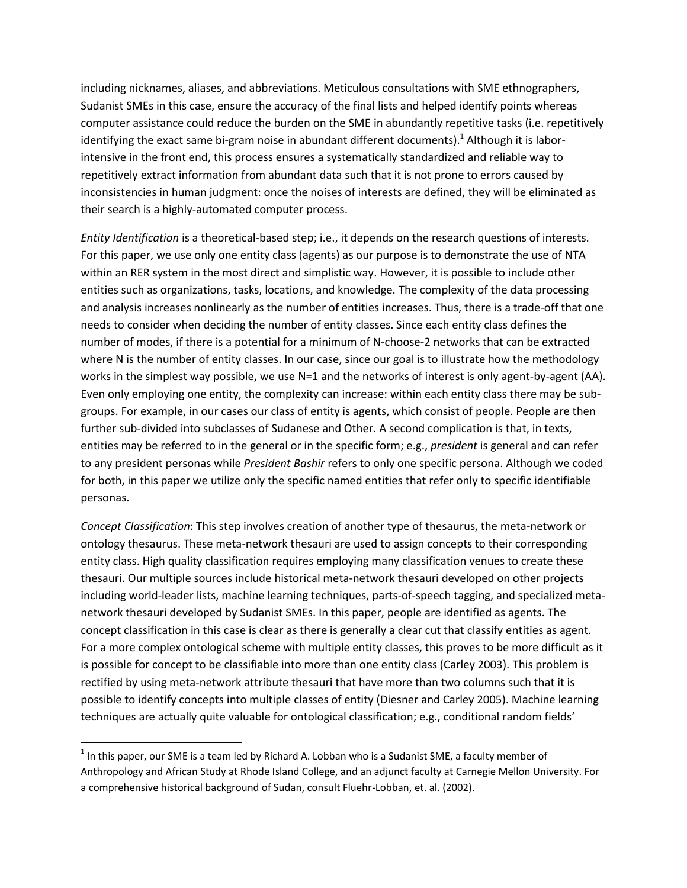including nicknames, aliases, and abbreviations. Meticulous consultations with SME ethnographers, Sudanist SMEs in this case, ensure the accuracy of the final lists and helped identify points whereas computer assistance could reduce the burden on the SME in abundantly repetitive tasks (i.e. repetitively identifying the exact same bi-gram noise in abundant different documents).<sup>1</sup> Although it is laborintensive in the front end, this process ensures a systematically standardized and reliable way to repetitively extract information from abundant data such that it is not prone to errors caused by inconsistencies in human judgment: once the noises of interests are defined, they will be eliminated as their search is a highly-automated computer process.

*Entity Identification* is a theoretical-based step; i.e., it depends on the research questions of interests. For this paper, we use only one entity class (agents) as our purpose is to demonstrate the use of NTA within an RER system in the most direct and simplistic way. However, it is possible to include other entities such as organizations, tasks, locations, and knowledge. The complexity of the data processing and analysis increases nonlinearly as the number of entities increases. Thus, there is a trade-off that one needs to consider when deciding the number of entity classes. Since each entity class defines the number of modes, if there is a potential for a minimum of N-choose-2 networks that can be extracted where N is the number of entity classes. In our case, since our goal is to illustrate how the methodology works in the simplest way possible, we use N=1 and the networks of interest is only agent-by-agent (AA). Even only employing one entity, the complexity can increase: within each entity class there may be subgroups. For example, in our cases our class of entity is agents, which consist of people. People are then further sub-divided into subclasses of Sudanese and Other. A second complication is that, in texts, entities may be referred to in the general or in the specific form; e.g., *president* is general and can refer to any president personas while *President Bashir* refers to only one specific persona. Although we coded for both, in this paper we utilize only the specific named entities that refer only to specific identifiable personas.

*Concept Classification*: This step involves creation of another type of thesaurus, the meta-network or ontology thesaurus. These meta-network thesauri are used to assign concepts to their corresponding entity class. High quality classification requires employing many classification venues to create these thesauri. Our multiple sources include historical meta-network thesauri developed on other projects including world-leader lists, machine learning techniques, parts-of-speech tagging, and specialized metanetwork thesauri developed by Sudanist SMEs. In this paper, people are identified as agents. The concept classification in this case is clear as there is generally a clear cut that classify entities as agent. For a more complex ontological scheme with multiple entity classes, this proves to be more difficult as it is possible for concept to be classifiable into more than one entity class (Carley 2003). This problem is rectified by using meta-network attribute thesauri that have more than two columns such that it is possible to identify concepts into multiple classes of entity (Diesner and Carley 2005). Machine learning techniques are actually quite valuable for ontological classification; e.g., conditional random fields'

l

 $^{1}$  In this paper, our SME is a team led by Richard A. Lobban who is a Sudanist SME, a faculty member of Anthropology and African Study at Rhode Island College, and an adjunct faculty at Carnegie Mellon University. For a comprehensive historical background of Sudan, consult Fluehr-Lobban, et. al. (2002).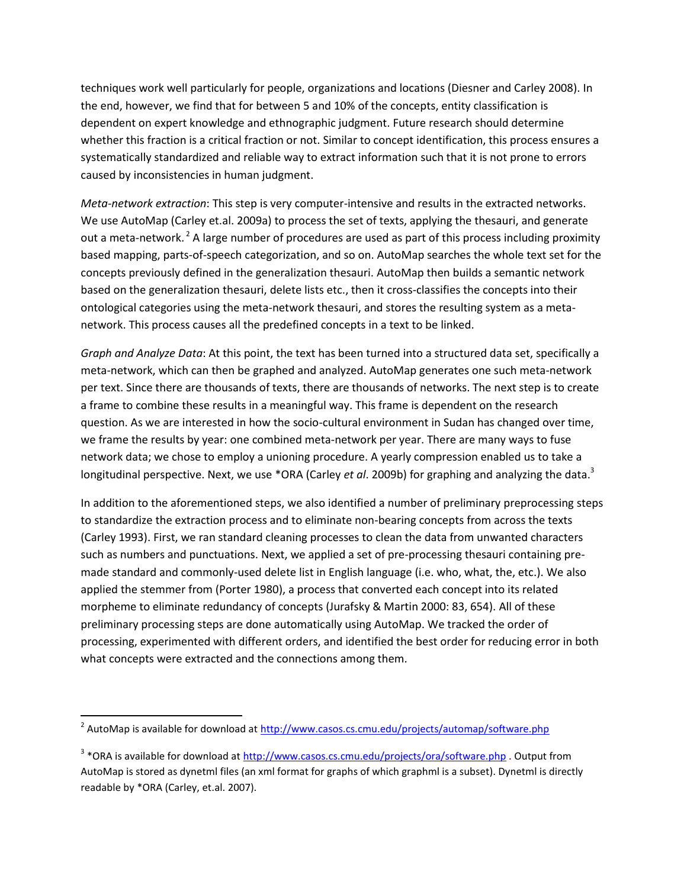techniques work well particularly for people, organizations and locations (Diesner and Carley 2008). In the end, however, we find that for between 5 and 10% of the concepts, entity classification is dependent on expert knowledge and ethnographic judgment. Future research should determine whether this fraction is a critical fraction or not. Similar to concept identification, this process ensures a systematically standardized and reliable way to extract information such that it is not prone to errors caused by inconsistencies in human judgment.

*Meta-network extraction*: This step is very computer-intensive and results in the extracted networks. We use AutoMap (Carley et.al. 2009a) to process the set of texts, applying the thesauri, and generate out a meta-network.<sup>2</sup> A large number of procedures are used as part of this process including proximity based mapping, parts-of-speech categorization, and so on. AutoMap searches the whole text set for the concepts previously defined in the generalization thesauri. AutoMap then builds a semantic network based on the generalization thesauri, delete lists etc., then it cross-classifies the concepts into their ontological categories using the meta-network thesauri, and stores the resulting system as a metanetwork. This process causes all the predefined concepts in a text to be linked.

*Graph and Analyze Data*: At this point, the text has been turned into a structured data set, specifically a meta-network, which can then be graphed and analyzed. AutoMap generates one such meta-network per text. Since there are thousands of texts, there are thousands of networks. The next step is to create a frame to combine these results in a meaningful way. This frame is dependent on the research question. As we are interested in how the socio-cultural environment in Sudan has changed over time, we frame the results by year: one combined meta-network per year. There are many ways to fuse network data; we chose to employ a unioning procedure. A yearly compression enabled us to take a longitudinal perspective. Next, we use \*ORA (Carley *et al*. 2009b) for graphing and analyzing the data.<sup>3</sup>

In addition to the aforementioned steps, we also identified a number of preliminary preprocessing steps to standardize the extraction process and to eliminate non-bearing concepts from across the texts (Carley 1993). First, we ran standard cleaning processes to clean the data from unwanted characters such as numbers and punctuations. Next, we applied a set of pre-processing thesauri containing premade standard and commonly-used delete list in English language (i.e. who, what, the, etc.). We also applied the stemmer from (Porter 1980), a process that converted each concept into its related morpheme to eliminate redundancy of concepts (Jurafsky & Martin 2000: 83, 654). All of these preliminary processing steps are done automatically using AutoMap. We tracked the order of processing, experimented with different orders, and identified the best order for reducing error in both what concepts were extracted and the connections among them.

 $\overline{a}$ 

<sup>&</sup>lt;sup>2</sup> AutoMap is available for download at <u>http://www.casos.cs.cmu.edu/projects/automap/software.php</u>

<sup>&</sup>lt;sup>3</sup> \*ORA is available for download at <u>http://www.casos.cs.cmu.edu/projects/ora/software.php</u> . Output from AutoMap is stored as dynetml files (an xml format for graphs of which graphml is a subset). Dynetml is directly readable by \*ORA (Carley, et.al. 2007).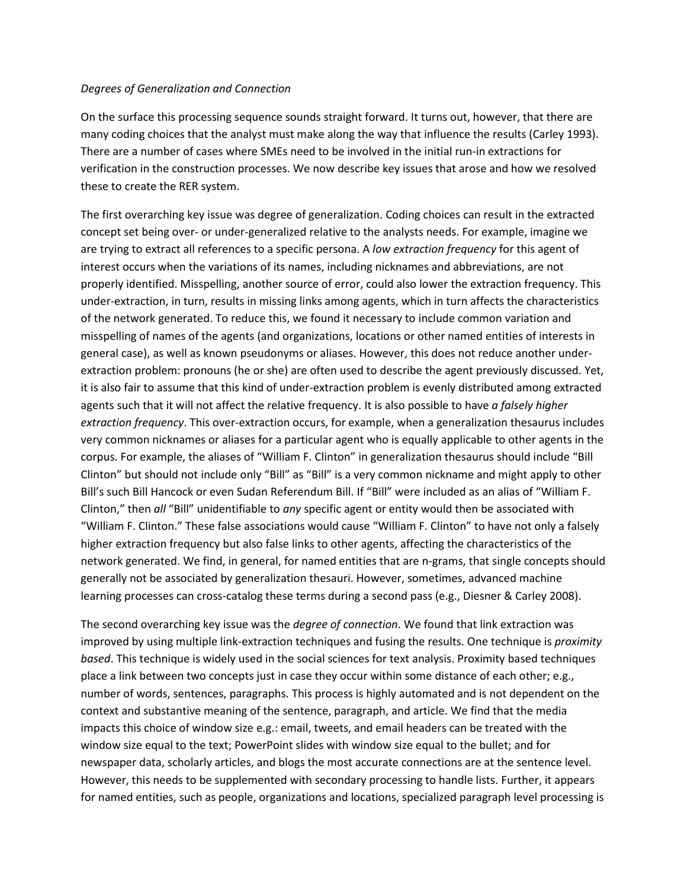#### *Degrees of Generalization and Connection*

On the surface this processing sequence sounds straight forward. It turns out, however, that there are many coding choices that the analyst must make along the way that influence the results (Carley 1993). There are a number of cases where SMEs need to be involved in the initial run-in extractions for verification in the construction processes. We now describe key issues that arose and how we resolved these to create the RER system.

The first overarching key issue was degree of generalization. Coding choices can result in the extracted concept set being over- or under-generalized relative to the analysts needs. For example, imagine we are trying to extract all references to a specific persona. A *low extraction frequency* for this agent of interest occurs when the variations of its names, including nicknames and abbreviations, are not properly identified. Misspelling, another source of error, could also lower the extraction frequency. This under-extraction, in turn, results in missing links among agents, which in turn affects the characteristics of the network generated. To reduce this, we found it necessary to include common variation and misspelling of names of the agents (and organizations, locations or other named entities of interests in general case), as well as known pseudonyms or aliases. However, this does not reduce another underextraction problem: pronouns (he or she) are often used to describe the agent previously discussed. Yet, it is also fair to assume that this kind of under-extraction problem is evenly distributed among extracted agents such that it will not affect the relative frequency. It is also possible to have *a falsely higher extraction frequency*. This over-extraction occurs, for example, when a generalization thesaurus includes very common nicknames or aliases for a particular agent who is equally applicable to other agents in the corpus. For example, the aliases of "William F. Clinton" in generalization thesaurus should include "Bill Clinton" but should not include only "Bill" as "Bill" is a very common nickname and might apply to other Bill's such Bill Hancock or even Sudan Referendum Bill. If "Bill" were included as an alias of "William F. Clinton," then *all* "Bill" unidentifiable to *any* specific agent or entity would then be associated with "William F. Clinton." These false associations would cause "William F. Clinton" to have not only a falsely higher extraction frequency but also false links to other agents, affecting the characteristics of the network generated. We find, in general, for named entities that are n-grams, that single concepts should generally not be associated by generalization thesauri. However, sometimes, advanced machine learning processes can cross-catalog these terms during a second pass (e.g., Diesner & Carley 2008).

The second overarching key issue was the *degree of connection*. We found that link extraction was improved by using multiple link-extraction techniques and fusing the results. One technique is *proximity based*. This technique is widely used in the social sciences for text analysis. Proximity based techniques place a link between two concepts just in case they occur within some distance of each other; e.g., number of words, sentences, paragraphs. This process is highly automated and is not dependent on the context and substantive meaning of the sentence, paragraph, and article. We find that the media impacts this choice of window size e.g.: email, tweets, and email headers can be treated with the window size equal to the text; PowerPoint slides with window size equal to the bullet; and for newspaper data, scholarly articles, and blogs the most accurate connections are at the sentence level. However, this needs to be supplemented with secondary processing to handle lists. Further, it appears for named entities, such as people, organizations and locations, specialized paragraph level processing is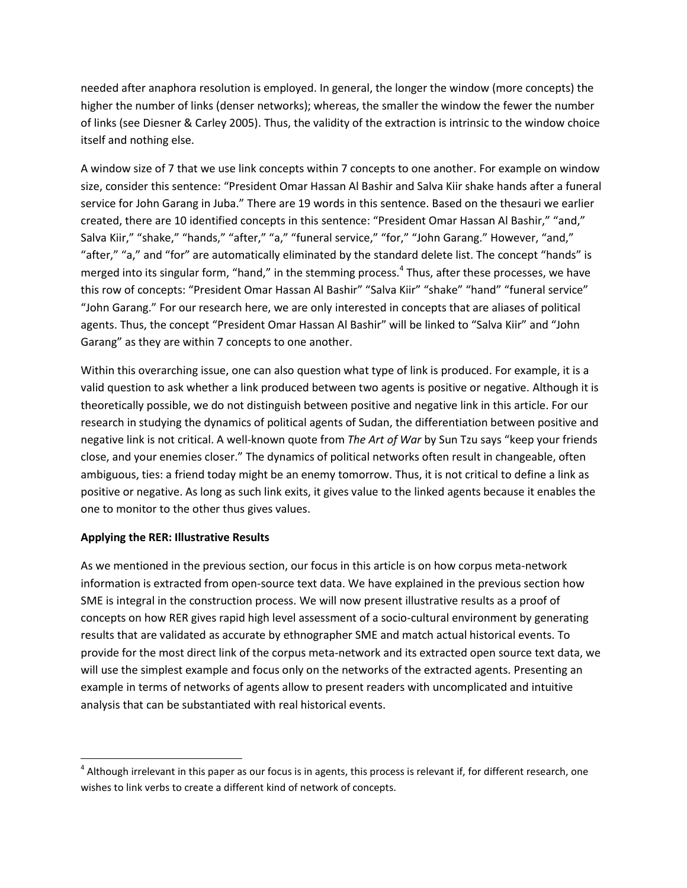needed after anaphora resolution is employed. In general, the longer the window (more concepts) the higher the number of links (denser networks); whereas, the smaller the window the fewer the number of links (see Diesner & Carley 2005). Thus, the validity of the extraction is intrinsic to the window choice itself and nothing else.

A window size of 7 that we use link concepts within 7 concepts to one another. For example on window size, consider this sentence: "President Omar Hassan Al Bashir and Salva Kiir shake hands after a funeral service for John Garang in Juba." There are 19 words in this sentence. Based on the thesauri we earlier created, there are 10 identified concepts in this sentence: "President Omar Hassan Al Bashir," "and," Salva Kiir," "shake," "hands," "after," "a," "funeral service," "for," "John Garang." However, "and," "after," "a," and "for" are automatically eliminated by the standard delete list. The concept "hands" is merged into its singular form, "hand," in the stemming process.<sup>4</sup> Thus, after these processes, we have this row of concepts: "President Omar Hassan Al Bashir" "Salva Kiir" "shake" "hand" "funeral service" "John Garang." For our research here, we are only interested in concepts that are aliases of political agents. Thus, the concept "President Omar Hassan Al Bashir" will be linked to "Salva Kiir" and "John Garang" as they are within 7 concepts to one another.

Within this overarching issue, one can also question what type of link is produced. For example, it is a valid question to ask whether a link produced between two agents is positive or negative. Although it is theoretically possible, we do not distinguish between positive and negative link in this article. For our research in studying the dynamics of political agents of Sudan, the differentiation between positive and negative link is not critical. A well-known quote from *The Art of War* by Sun Tzu says "keep your friends close, and your enemies closer." The dynamics of political networks often result in changeable, often ambiguous, ties: a friend today might be an enemy tomorrow. Thus, it is not critical to define a link as positive or negative. As long as such link exits, it gives value to the linked agents because it enables the one to monitor to the other thus gives values.

## **Applying the RER: Illustrative Results**

 $\overline{\phantom{a}}$ 

As we mentioned in the previous section, our focus in this article is on how corpus meta-network information is extracted from open-source text data. We have explained in the previous section how SME is integral in the construction process. We will now present illustrative results as a proof of concepts on how RER gives rapid high level assessment of a socio-cultural environment by generating results that are validated as accurate by ethnographer SME and match actual historical events. To provide for the most direct link of the corpus meta-network and its extracted open source text data, we will use the simplest example and focus only on the networks of the extracted agents. Presenting an example in terms of networks of agents allow to present readers with uncomplicated and intuitive analysis that can be substantiated with real historical events.

 $^4$  Although irrelevant in this paper as our focus is in agents, this process is relevant if, for different research, one wishes to link verbs to create a different kind of network of concepts.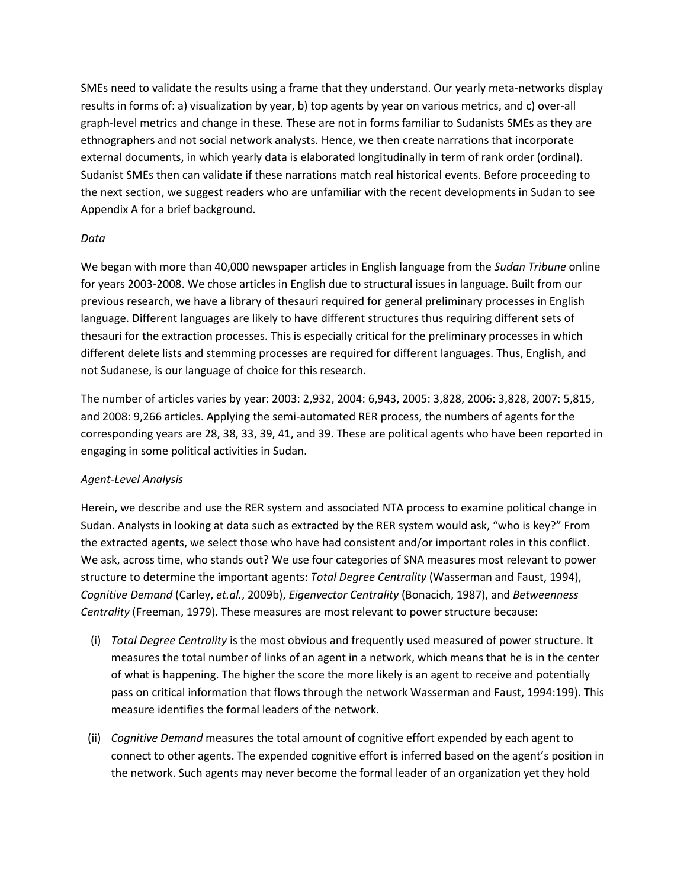SMEs need to validate the results using a frame that they understand. Our yearly meta-networks display results in forms of: a) visualization by year, b) top agents by year on various metrics, and c) over-all graph-level metrics and change in these. These are not in forms familiar to Sudanists SMEs as they are ethnographers and not social network analysts. Hence, we then create narrations that incorporate external documents, in which yearly data is elaborated longitudinally in term of rank order (ordinal). Sudanist SMEs then can validate if these narrations match real historical events. Before proceeding to the next section, we suggest readers who are unfamiliar with the recent developments in Sudan to see Appendix A for a brief background.

## *Data*

We began with more than 40,000 newspaper articles in English language from the *Sudan Tribune* online for years 2003-2008. We chose articles in English due to structural issues in language. Built from our previous research, we have a library of thesauri required for general preliminary processes in English language. Different languages are likely to have different structures thus requiring different sets of thesauri for the extraction processes. This is especially critical for the preliminary processes in which different delete lists and stemming processes are required for different languages. Thus, English, and not Sudanese, is our language of choice for this research.

The number of articles varies by year: 2003: 2,932, 2004: 6,943, 2005: 3,828, 2006: 3,828, 2007: 5,815, and 2008: 9,266 articles. Applying the semi-automated RER process, the numbers of agents for the corresponding years are 28, 38, 33, 39, 41, and 39. These are political agents who have been reported in engaging in some political activities in Sudan.

## *Agent-Level Analysis*

Herein, we describe and use the RER system and associated NTA process to examine political change in Sudan. Analysts in looking at data such as extracted by the RER system would ask, "who is key?" From the extracted agents, we select those who have had consistent and/or important roles in this conflict. We ask, across time, who stands out? We use four categories of SNA measures most relevant to power structure to determine the important agents: *Total Degree Centrality* (Wasserman and Faust, 1994), *Cognitive Demand* (Carley, *et.al.*, 2009b), *Eigenvector Centrality* (Bonacich, 1987), and *Betweenness Centrality* (Freeman, 1979). These measures are most relevant to power structure because:

- (i) *Total Degree Centrality* is the most obvious and frequently used measured of power structure. It measures the total number of links of an agent in a network, which means that he is in the center of what is happening. The higher the score the more likely is an agent to receive and potentially pass on critical information that flows through the network Wasserman and Faust, 1994:199). This measure identifies the formal leaders of the network.
- (ii) *Cognitive Demand* measures the total amount of cognitive effort expended by each agent to connect to other agents. The expended cognitive effort is inferred based on the agent's position in the network. Such agents may never become the formal leader of an organization yet they hold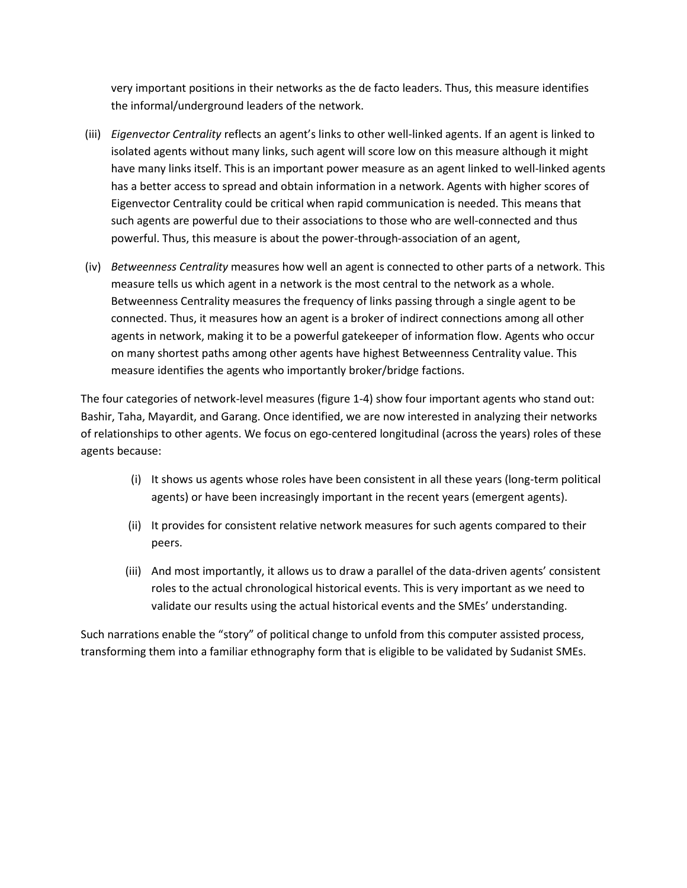very important positions in their networks as the de facto leaders. Thus, this measure identifies the informal/underground leaders of the network.

- (iii) *Eigenvector Centrality* reflects an agent's links to other well-linked agents. If an agent is linked to isolated agents without many links, such agent will score low on this measure although it might have many links itself. This is an important power measure as an agent linked to well-linked agents has a better access to spread and obtain information in a network. Agents with higher scores of Eigenvector Centrality could be critical when rapid communication is needed. This means that such agents are powerful due to their associations to those who are well-connected and thus powerful. Thus, this measure is about the power-through-association of an agent,
- (iv) *Betweenness Centrality* measures how well an agent is connected to other parts of a network. This measure tells us which agent in a network is the most central to the network as a whole. Betweenness Centrality measures the frequency of links passing through a single agent to be connected. Thus, it measures how an agent is a broker of indirect connections among all other agents in network, making it to be a powerful gatekeeper of information flow. Agents who occur on many shortest paths among other agents have highest Betweenness Centrality value. This measure identifies the agents who importantly broker/bridge factions.

The four categories of network-level measures (figure 1-4) show four important agents who stand out: Bashir, Taha, Mayardit, and Garang. Once identified, we are now interested in analyzing their networks of relationships to other agents. We focus on ego-centered longitudinal (across the years) roles of these agents because:

- (i) It shows us agents whose roles have been consistent in all these years (long-term political agents) or have been increasingly important in the recent years (emergent agents).
- (ii) It provides for consistent relative network measures for such agents compared to their peers.
- (iii) And most importantly, it allows us to draw a parallel of the data-driven agents' consistent roles to the actual chronological historical events. This is very important as we need to validate our results using the actual historical events and the SMEs' understanding.

Such narrations enable the "story" of political change to unfold from this computer assisted process, transforming them into a familiar ethnography form that is eligible to be validated by Sudanist SMEs.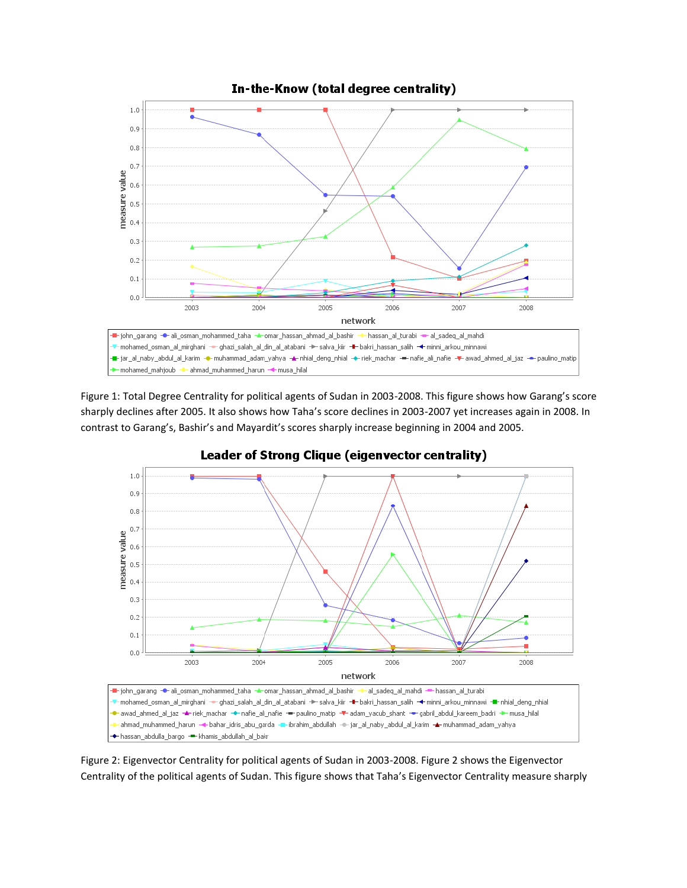

Figure 1: Total Degree Centrality for political agents of Sudan in 2003-2008. This figure shows how Garang's score sharply declines after 2005. It also shows how Taha's score declines in 2003-2007 yet increases again in 2008. In contrast to Garang's, Bashir's and Mayardit's scores sharply increase beginning in 2004 and 2005.



Leader of Strong Clique (eigenvector centrality)

Figure 2: Eigenvector Centrality for political agents of Sudan in 2003-2008. Figure 2 shows the Eigenvector Centrality of the political agents of Sudan. This figure shows that Taha's Eigenvector Centrality measure sharply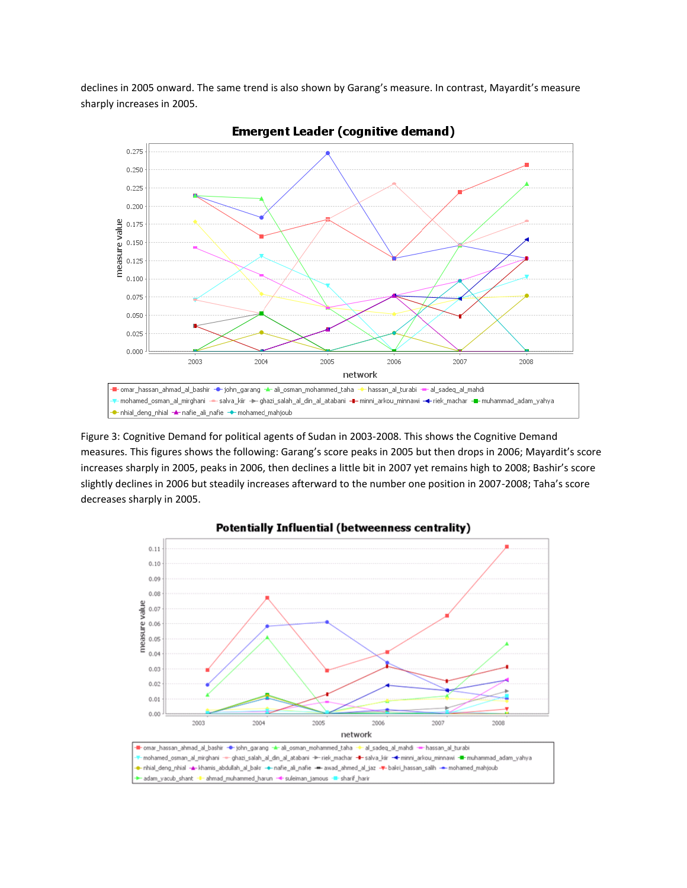declines in 2005 onward. The same trend is also shown by Garang's measure. In contrast, Mayardit's measure sharply increases in 2005.



**Emergent Leader (cognitive demand)** 

Figure 3: Cognitive Demand for political agents of Sudan in 2003-2008. This shows the Cognitive Demand measures. This figures shows the following: Garang's score peaks in 2005 but then drops in 2006; Mayardit's score increases sharply in 2005, peaks in 2006, then declines a little bit in 2007 yet remains high to 2008; Bashir's score slightly declines in 2006 but steadily increases afterward to the number one position in 2007-2008; Taha's score decreases sharply in 2005.

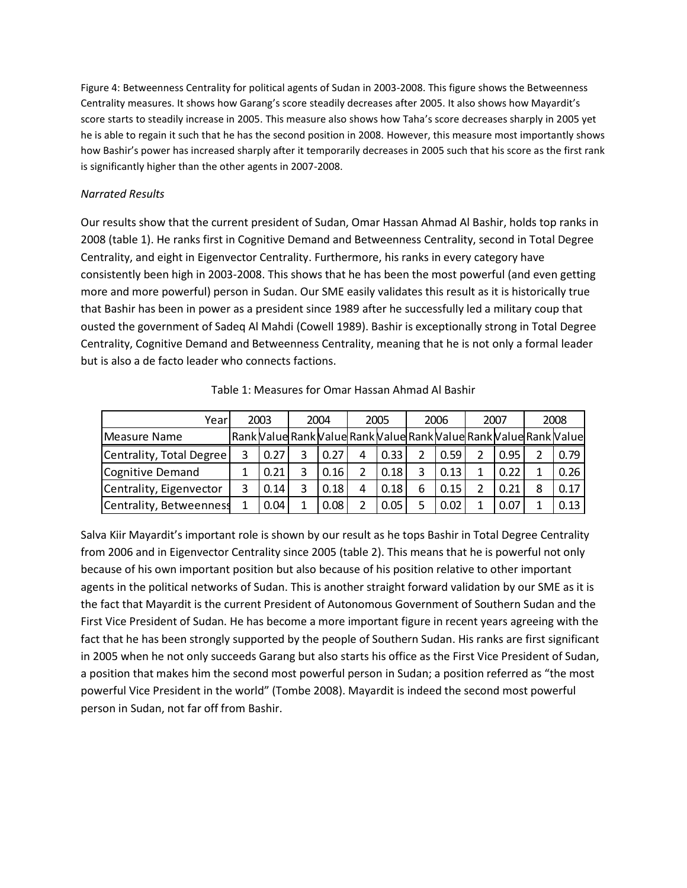Figure 4: Betweenness Centrality for political agents of Sudan in 2003-2008. This figure shows the Betweenness Centrality measures. It shows how Garang's score steadily decreases after 2005. It also shows how Mayardit's score starts to steadily increase in 2005. This measure also shows how Taha's score decreases sharply in 2005 yet he is able to regain it such that he has the second position in 2008. However, this measure most importantly shows how Bashir's power has increased sharply after it temporarily decreases in 2005 such that his score as the first rank is significantly higher than the other agents in 2007-2008.

## *Narrated Results*

Our results show that the current president of Sudan, Omar Hassan Ahmad Al Bashir, holds top ranks in 2008 (table 1). He ranks first in Cognitive Demand and Betweenness Centrality, second in Total Degree Centrality, and eight in Eigenvector Centrality. Furthermore, his ranks in every category have consistently been high in 2003-2008. This shows that he has been the most powerful (and even getting more and more powerful) person in Sudan. Our SME easily validates this result as it is historically true that Bashir has been in power as a president since 1989 after he successfully led a military coup that ousted the government of Sadeq Al Mahdi (Cowell 1989). Bashir is exceptionally strong in Total Degree Centrality, Cognitive Demand and Betweenness Centrality, meaning that he is not only a formal leader but is also a de facto leader who connects factions.

| Yearl                    |   | 2003 | 2004 |   | 2005 |   | 2006 |   | 2007 |   | 2008                                                                               |
|--------------------------|---|------|------|---|------|---|------|---|------|---|------------------------------------------------------------------------------------|
| Measure Name             |   |      |      |   |      |   |      |   |      |   | Rank   Value  Rank   Value  Rank   Value  Rank   Value  Rank   Value  Rank   Value |
| Centrality, Total Degree | 3 | 0.27 | 0.27 | 4 | 0.33 | 2 | 0.59 | 2 | 0.95 |   | 0.79                                                                               |
| Cognitive Demand         |   | 0.21 | 0.16 | 2 | 0.18 | 3 | 0.13 |   | 0.22 |   | 0.26                                                                               |
| Centrality, Eigenvector  |   | 0.14 | 0.18 | 4 | 0.18 | 6 | 0.15 |   | 0.21 | 8 | 0.17                                                                               |
| Centrality, Betweenness  |   | 0.04 | 0.08 |   | 0.05 |   | 0.02 |   | 0.07 |   | 0.13                                                                               |

Table 1: Measures for Omar Hassan Ahmad Al Bashir

Salva Kiir Mayardit's important role is shown by our result as he tops Bashir in Total Degree Centrality from 2006 and in Eigenvector Centrality since 2005 (table 2). This means that he is powerful not only because of his own important position but also because of his position relative to other important agents in the political networks of Sudan. This is another straight forward validation by our SME as it is the fact that Mayardit is the current President of Autonomous Government of Southern Sudan and the First Vice President of Sudan. He has become a more important figure in recent years agreeing with the fact that he has been strongly supported by the people of Southern Sudan. His ranks are first significant in 2005 when he not only succeeds Garang but also starts his office as the First Vice President of Sudan, a position that makes him the second most powerful person in Sudan; a position referred as "the most powerful Vice President in the world" (Tombe 2008). Mayardit is indeed the second most powerful person in Sudan, not far off from Bashir.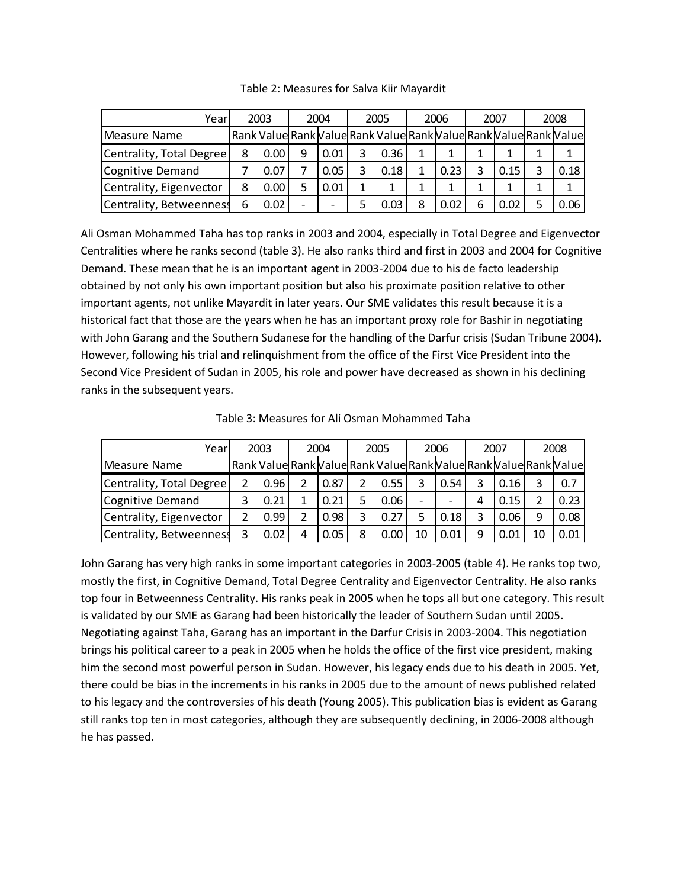| Yearl                    |   | 2003 | 2004 |   | 2005 |   | 2006 |   | 2007 |   | 2008                                                                               |
|--------------------------|---|------|------|---|------|---|------|---|------|---|------------------------------------------------------------------------------------|
| Measure Name             |   |      |      |   |      |   |      |   |      |   | Rank   Value  Rank   Value  Rank   Value  Rank   Value  Rank   Value  Rank   Value |
| Centrality, Total Degree | 8 | 0.00 | 0.01 | 3 | 0.36 | 1 |      |   |      |   |                                                                                    |
| Cognitive Demand         |   | 0.07 | 0.05 | 3 | 0.18 | 1 | 0.23 | 3 | 0.15 | 3 | 0.18                                                                               |
| Centrality, Eigenvector  | 8 | 0.00 | 0.01 | 1 |      | 1 | 1    |   |      |   |                                                                                    |
| Centrality, Betweenness  | 6 | 0.02 |      |   | 0.03 | 8 | 0.02 | 6 | 0.02 |   | 0.06                                                                               |

Table 2: Measures for Salva Kiir Mayardit

Ali Osman Mohammed Taha has top ranks in 2003 and 2004, especially in Total Degree and Eigenvector Centralities where he ranks second (table 3). He also ranks third and first in 2003 and 2004 for Cognitive Demand. These mean that he is an important agent in 2003-2004 due to his de facto leadership obtained by not only his own important position but also his proximate position relative to other important agents, not unlike Mayardit in later years. Our SME validates this result because it is a historical fact that those are the years when he has an important proxy role for Bashir in negotiating with John Garang and the Southern Sudanese for the handling of the Darfur crisis (Sudan Tribune 2004). However, following his trial and relinquishment from the office of the First Vice President into the Second Vice President of Sudan in 2005, his role and power have decreased as shown in his declining ranks in the subsequent years.

| Yearl                    |   | 2003 |  | 2004 |   | 2005 |                          | 2006 |   | 2007  |    | 2008                                                                               |
|--------------------------|---|------|--|------|---|------|--------------------------|------|---|-------|----|------------------------------------------------------------------------------------|
| Measure Name             |   |      |  |      |   |      |                          |      |   |       |    | Rank   Value  Rank   Value  Rank   Value  Rank   Value  Rank   Value  Rank   Value |
| Centrality, Total Degree |   | 0.96 |  | 0.87 |   | 0.55 | 3                        | 0.54 |   | 0.161 |    | 0.7                                                                                |
| Cognitive Demand         |   | 0.21 |  | 0.21 |   | 0.06 | $\overline{\phantom{0}}$ |      | 4 | 0.15  |    | 0.23                                                                               |
| Centrality, Eigenvector  |   | 0.99 |  | 0.98 | 3 | 0.27 | 5.                       | 0.18 | 3 | 0.06  | 9  | 0.08                                                                               |
| Centrality, Betweenness  | 3 | 0.02 |  | 0.05 | 8 | 0.00 | 10                       | 0.01 | 9 | 0.01  | 10 | 0.01                                                                               |

Table 3: Measures for Ali Osman Mohammed Taha

John Garang has very high ranks in some important categories in 2003-2005 (table 4). He ranks top two, mostly the first, in Cognitive Demand, Total Degree Centrality and Eigenvector Centrality. He also ranks top four in Betweenness Centrality. His ranks peak in 2005 when he tops all but one category. This result is validated by our SME as Garang had been historically the leader of Southern Sudan until 2005. Negotiating against Taha, Garang has an important in the Darfur Crisis in 2003-2004. This negotiation brings his political career to a peak in 2005 when he holds the office of the first vice president, making him the second most powerful person in Sudan. However, his legacy ends due to his death in 2005. Yet, there could be bias in the increments in his ranks in 2005 due to the amount of news published related to his legacy and the controversies of his death (Young 2005). This publication bias is evident as Garang still ranks top ten in most categories, although they are subsequently declining, in 2006-2008 although he has passed.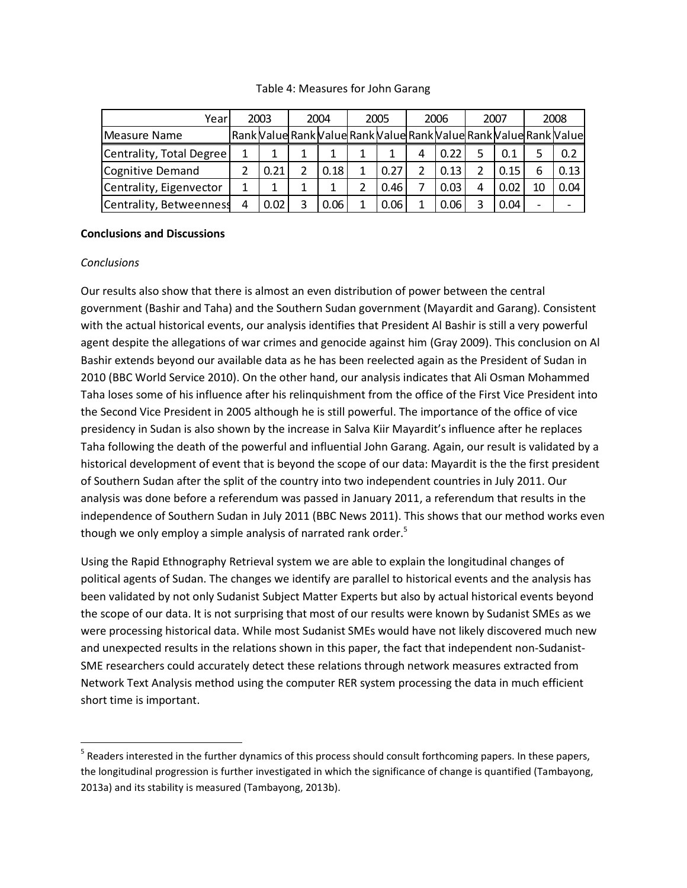#### Table 4: Measures for John Garang

| Yearl                    |   | 2003 | 2004 | 2005 |   | 2006 |   | 2007 |                          | 2008                                                                               |
|--------------------------|---|------|------|------|---|------|---|------|--------------------------|------------------------------------------------------------------------------------|
| Measure Name             |   |      |      |      |   |      |   |      |                          | Rank   Value  Rank   Value  Rank   Value  Rank   Value  Rank   Value  Rank   Value |
| Centrality, Total Degree |   |      |      |      | 4 | 0.22 |   |      | 5                        | 0.2                                                                                |
| Cognitive Demand         |   | 0.21 | 0.18 | 0.27 |   | 0.13 |   | 0.15 | 6                        | 0.13                                                                               |
| Centrality, Eigenvector  |   |      |      | 0.46 |   | 0.03 | 4 | 0.02 | 10                       | 0.04                                                                               |
| Centrality, Betweenness  | 4 | 0.02 | 0.06 | 0.06 | 1 | 0.06 |   | 0.04 | $\overline{\phantom{0}}$ |                                                                                    |

## **Conclusions and Discussions**

## *Conclusions*

l

Our results also show that there is almost an even distribution of power between the central government (Bashir and Taha) and the Southern Sudan government (Mayardit and Garang). Consistent with the actual historical events, our analysis identifies that President Al Bashir is still a very powerful agent despite the allegations of war crimes and genocide against him (Gray 2009). This conclusion on Al Bashir extends beyond our available data as he has been reelected again as the President of Sudan in 2010 (BBC World Service 2010). On the other hand, our analysis indicates that Ali Osman Mohammed Taha loses some of his influence after his relinquishment from the office of the First Vice President into the Second Vice President in 2005 although he is still powerful. The importance of the office of vice presidency in Sudan is also shown by the increase in Salva Kiir Mayardit's influence after he replaces Taha following the death of the powerful and influential John Garang. Again, our result is validated by a historical development of event that is beyond the scope of our data: Mayardit is the the first president of Southern Sudan after the split of the country into two independent countries in July 2011. Our analysis was done before a referendum was passed in January 2011, a referendum that results in the independence of Southern Sudan in July 2011 (BBC News 2011). This shows that our method works even though we only employ a simple analysis of narrated rank order.<sup>5</sup>

Using the Rapid Ethnography Retrieval system we are able to explain the longitudinal changes of political agents of Sudan. The changes we identify are parallel to historical events and the analysis has been validated by not only Sudanist Subject Matter Experts but also by actual historical events beyond the scope of our data. It is not surprising that most of our results were known by Sudanist SMEs as we were processing historical data. While most Sudanist SMEs would have not likely discovered much new and unexpected results in the relations shown in this paper, the fact that independent non-Sudanist-SME researchers could accurately detect these relations through network measures extracted from Network Text Analysis method using the computer RER system processing the data in much efficient short time is important.

<sup>&</sup>lt;sup>5</sup> Readers interested in the further dynamics of this process should consult forthcoming papers. In these papers, the longitudinal progression is further investigated in which the significance of change is quantified (Tambayong, 2013a) and its stability is measured (Tambayong, 2013b).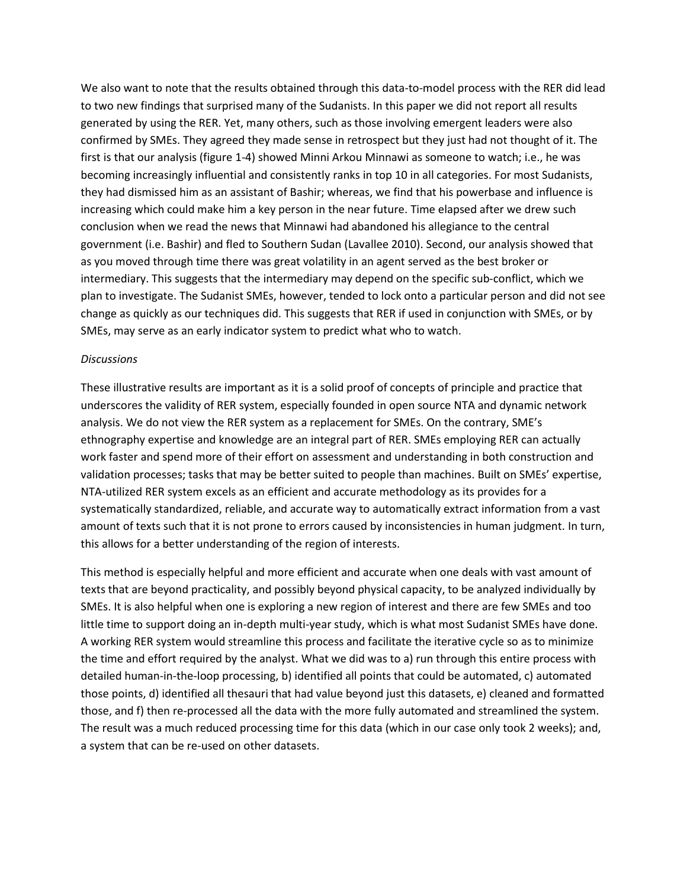We also want to note that the results obtained through this data-to-model process with the RER did lead to two new findings that surprised many of the Sudanists. In this paper we did not report all results generated by using the RER. Yet, many others, such as those involving emergent leaders were also confirmed by SMEs. They agreed they made sense in retrospect but they just had not thought of it. The first is that our analysis (figure 1-4) showed Minni Arkou Minnawi as someone to watch; i.e., he was becoming increasingly influential and consistently ranks in top 10 in all categories. For most Sudanists, they had dismissed him as an assistant of Bashir; whereas, we find that his powerbase and influence is increasing which could make him a key person in the near future. Time elapsed after we drew such conclusion when we read the news that Minnawi had abandoned his allegiance to the central government (i.e. Bashir) and fled to Southern Sudan (Lavallee 2010). Second, our analysis showed that as you moved through time there was great volatility in an agent served as the best broker or intermediary. This suggests that the intermediary may depend on the specific sub-conflict, which we plan to investigate. The Sudanist SMEs, however, tended to lock onto a particular person and did not see change as quickly as our techniques did. This suggests that RER if used in conjunction with SMEs, or by SMEs, may serve as an early indicator system to predict what who to watch.

#### *Discussions*

These illustrative results are important as it is a solid proof of concepts of principle and practice that underscores the validity of RER system, especially founded in open source NTA and dynamic network analysis. We do not view the RER system as a replacement for SMEs. On the contrary, SME's ethnography expertise and knowledge are an integral part of RER. SMEs employing RER can actually work faster and spend more of their effort on assessment and understanding in both construction and validation processes; tasks that may be better suited to people than machines. Built on SMEs' expertise, NTA-utilized RER system excels as an efficient and accurate methodology as its provides for a systematically standardized, reliable, and accurate way to automatically extract information from a vast amount of texts such that it is not prone to errors caused by inconsistencies in human judgment. In turn, this allows for a better understanding of the region of interests.

This method is especially helpful and more efficient and accurate when one deals with vast amount of texts that are beyond practicality, and possibly beyond physical capacity, to be analyzed individually by SMEs. It is also helpful when one is exploring a new region of interest and there are few SMEs and too little time to support doing an in-depth multi-year study, which is what most Sudanist SMEs have done. A working RER system would streamline this process and facilitate the iterative cycle so as to minimize the time and effort required by the analyst. What we did was to a) run through this entire process with detailed human-in-the-loop processing, b) identified all points that could be automated, c) automated those points, d) identified all thesauri that had value beyond just this datasets, e) cleaned and formatted those, and f) then re-processed all the data with the more fully automated and streamlined the system. The result was a much reduced processing time for this data (which in our case only took 2 weeks); and, a system that can be re-used on other datasets.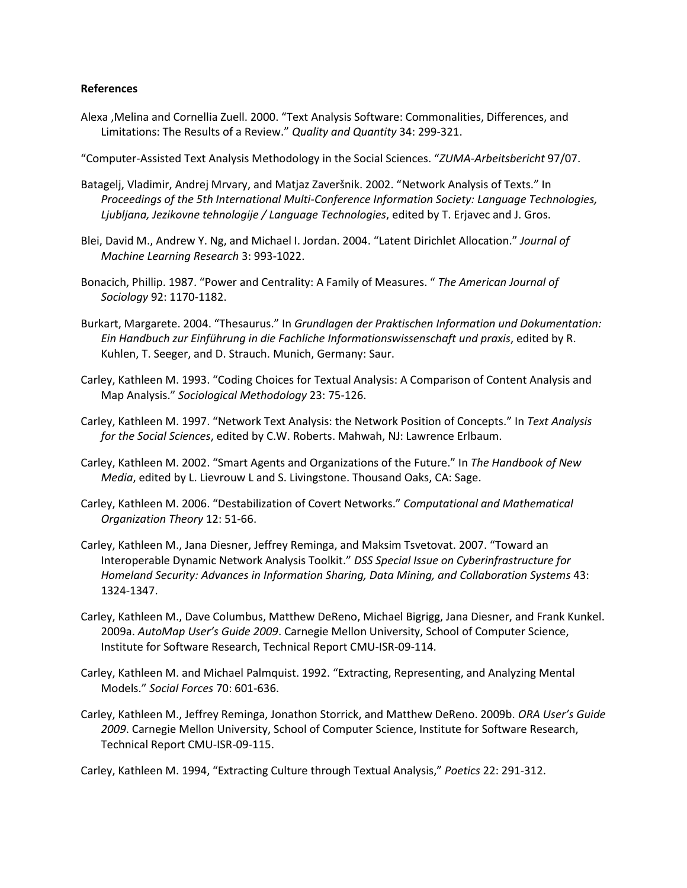#### **References**

- Alexa ,Melina and Cornellia Zuell. 2000. "Text Analysis Software: Commonalities, Differences, and Limitations: The Results of a Review." *Quality and Quantity* 34: 299-321.
- "Computer-Assisted Text Analysis Methodology in the Social Sciences. "*ZUMA-Arbeitsbericht* 97/07.
- Batagelj, Vladimir, Andrej Mrvary, and Matjaz Zaveršnik. 2002. "Network Analysis of Texts." In *Proceedings of the 5th International Multi-Conference Information Society: Language Technologies, Ljubljana, Jezikovne tehnologije / Language Technologies*, edited by T. Erjavec and J. Gros.
- Blei, David M., Andrew Y. Ng, and Michael I. Jordan. 2004. "Latent Dirichlet Allocation." *Journal of Machine Learning Research* 3: 993-1022.
- Bonacich, Phillip. 1987. "Power and Centrality: A Family of Measures. " *The American Journal of Sociology* 92: 1170-1182.
- Burkart, Margarete. 2004. "Thesaurus." In *Grundlagen der Praktischen Information und Dokumentation: Ein Handbuch zur Einführung in die Fachliche Informationswissenschaft und praxis*, edited by R. Kuhlen, T. Seeger, and D. Strauch. Munich, Germany: Saur.
- Carley, Kathleen M. 1993. "Coding Choices for Textual Analysis: A Comparison of Content Analysis and Map Analysis." *Sociological Methodology* 23: 75-126.
- Carley, Kathleen M. 1997. "Network Text Analysis: the Network Position of Concepts." In *Text Analysis for the Social Sciences*, edited by C.W. Roberts. Mahwah, NJ: Lawrence Erlbaum.
- Carley, Kathleen M. 2002. "Smart Agents and Organizations of the Future." In *The Handbook of New Media*, edited by L. Lievrouw L and S. Livingstone. Thousand Oaks, CA: Sage.
- Carley, Kathleen M. 2006. "Destabilization of Covert Networks." *Computational and Mathematical Organization Theory* 12: 51-66.
- Carley, Kathleen M., Jana Diesner, Jeffrey Reminga, and Maksim Tsvetovat. 2007. "Toward an Interoperable Dynamic Network Analysis Toolkit." *DSS Special Issue on Cyberinfrastructure for Homeland Security: Advances in Information Sharing, Data Mining, and Collaboration Systems* 43: 1324-1347.
- Carley, Kathleen M., Dave Columbus, Matthew DeReno, Michael Bigrigg, Jana Diesner, and Frank Kunkel. 2009a. *AutoMap User's Guide 2009*. Carnegie Mellon University, School of Computer Science, Institute for Software Research, Technical Report CMU-ISR-09-114.
- Carley, Kathleen M. and Michael Palmquist. 1992. "Extracting, Representing, and Analyzing Mental Models." *Social Forces* 70: 601-636.
- Carley, Kathleen M., Jeffrey Reminga, Jonathon Storrick, and Matthew DeReno. 2009b. *ORA User's Guide 2009*. Carnegie Mellon University, School of Computer Science, Institute for Software Research, Technical Report CMU-ISR-09-115.

Carley, Kathleen M. 1994, "Extracting Culture through Textual Analysis," *Poetics* 22: 291-312.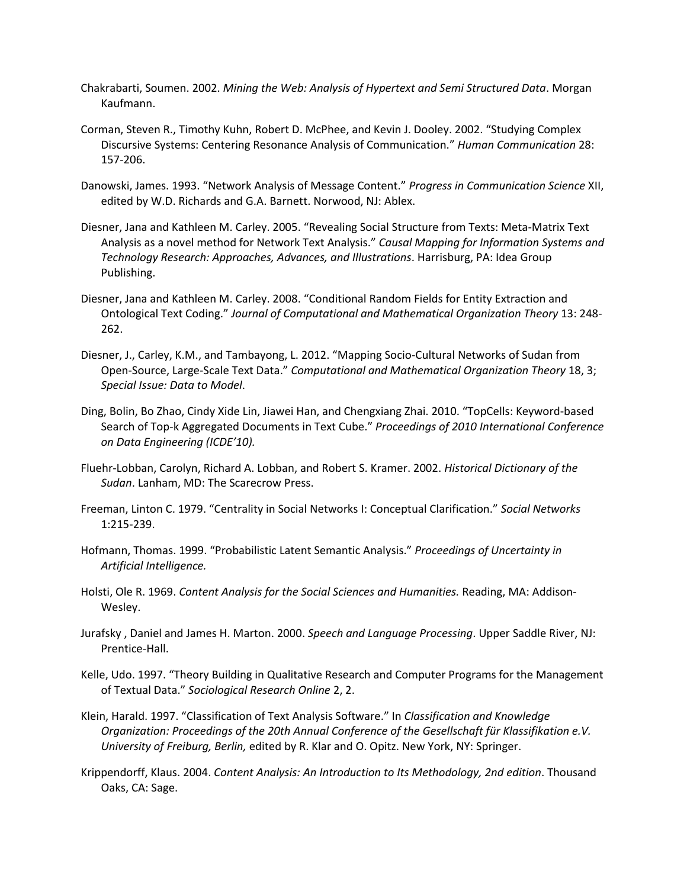- Chakrabarti, Soumen. 2002. *Mining the Web: Analysis of Hypertext and Semi Structured Data*. Morgan Kaufmann.
- Corman, Steven R., Timothy Kuhn, Robert D. McPhee, and Kevin J. Dooley. 2002. "Studying Complex Discursive Systems: Centering Resonance Analysis of Communication." *Human Communication* 28: 157-206.
- Danowski, James. 1993. "Network Analysis of Message Content." *Progress in Communication Science* XII, edited by W.D. Richards and G.A. Barnett. Norwood, NJ: Ablex.
- Diesner, Jana and Kathleen M. Carley. 2005. "Revealing Social Structure from Texts: Meta-Matrix Text Analysis as a novel method for Network Text Analysis." *Causal Mapping for Information Systems and Technology Research: Approaches, Advances, and Illustrations*. Harrisburg, PA: Idea Group Publishing.
- Diesner, Jana and Kathleen M. Carley. 2008. "Conditional Random Fields for Entity Extraction and Ontological Text Coding." *Journal of Computational and Mathematical Organization Theory* 13: 248- 262.
- Diesner, J., Carley, K.M., and Tambayong, L. 2012. "Mapping Socio-Cultural Networks of Sudan from Open-Source, Large-Scale Text Data." *Computational and Mathematical Organization Theory* 18, 3; *Special Issue: Data to Model*.
- Ding, Bolin, Bo Zhao, Cindy Xide Lin, Jiawei Han, and Chengxiang Zhai. 2010. "TopCells: Keyword-based Search of Top-k Aggregated Documents in Text Cube." *Proceedings of 2010 International Conference on Data Engineering (ICDE'10).*
- Fluehr-Lobban, Carolyn, Richard A. Lobban, and Robert S. Kramer. 2002. *Historical Dictionary of the Sudan*. Lanham, MD: The Scarecrow Press.
- Freeman, Linton C. 1979. "Centrality in Social Networks I: Conceptual Clarification." *Social Networks* 1:215-239.
- Hofmann, Thomas. 1999. "Probabilistic Latent Semantic Analysis." *Proceedings of Uncertainty in Artificial Intelligence.*
- [Holsti,](http://en.wikipedia.org/wiki/Ole_R._Holsti) Ole R. 1969. *Content Analysis for the Social Sciences and Humanities.* Reading, MA: Addison-Wesley.
- Jurafsky , Daniel and James H. Marton. 2000. *Speech and Language Processing*. Upper Saddle River, NJ: Prentice-Hall.
- Kelle, Udo. 1997. "Theory Building in Qualitative Research and Computer Programs for the Management of Textual Data." *Sociological Research Online* 2, 2.
- Klein, Harald. 1997. "Classification of Text Analysis Software." In *Classification and Knowledge Organization: Proceedings of the 20th Annual Conference of the Gesellschaft für Klassifikation e.V. University of Freiburg, Berlin,* edited by R. Klar and O. Opitz. New York, NY: Springer.
- [Krippendorff,](http://en.wikipedia.org/wiki/Klaus_Krippendorff) Klaus. 2004. *Content Analysis: An Introduction to Its Methodology, 2nd edition*. Thousand Oaks, CA: Sage.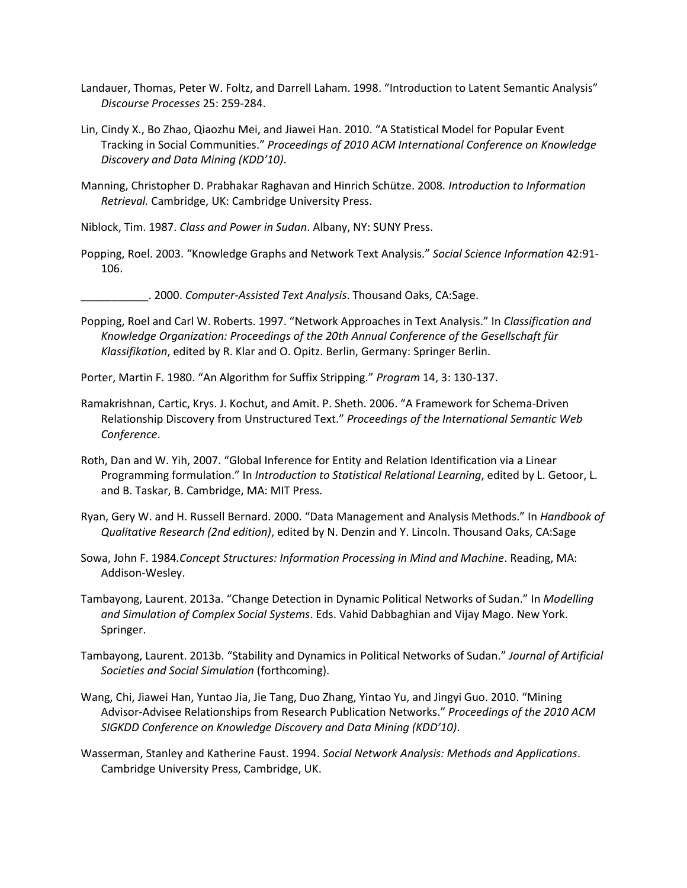- [Landauer,](http://en.wikipedia.org/wiki/Thomas_Landauer) Thomas, Peter W. Foltz, and Darrell Laham. 1998. "[Introduction to Latent Semantic Analysis](http://lsa.colorado.edu/papers/dp1.LSAintro.pdf)" *Discourse Processes* 25: 259-284.
- Lin, Cindy X., Bo Zhao, Qiaozhu Mei, and Jiawei Han. 2010. "A Statistical Model for Popular Event Tracking in Social Communities." *Proceedings of 2010 ACM International Conference on Knowledge Discovery and Data Mining (KDD'10)*.
- Manning, Christopher D. Prabhakar Raghavan and Hinrich Schütze. 2008*. Introduction to Information Retrieval.* Cambridge, UK: Cambridge University Press.
- Niblock, Tim. 1987. *Class and Power in Sudan*. Albany, NY: SUNY Press.
- Popping, Roel. 2003. "Knowledge Graphs and Network Text Analysis." *Social Science Information* 42:91- 106.
	- \_\_\_\_\_\_\_\_\_\_\_. 2000. *Computer-Assisted Text Analysis*. Thousand Oaks, CA:Sage.
- Popping, Roel and Carl W. Roberts. 1997. "Network Approaches in Text Analysis." In *Classification and Knowledge Organization: Proceedings of the 20th Annual Conference of the Gesellschaft für Klassifikation*, edited by R. Klar and O. Opitz. Berlin, Germany: Springer Berlin.
- Porter, Martin F. 1980. "An Algorithm for Suffix Stripping." *Program* 14, 3: 130-137.
- Ramakrishnan, Cartic, Krys. J. Kochut, and Amit. P. Sheth. 2006. "A Framework for Schema-Driven Relationship Discovery from Unstructured Text." *Proceedings of the International Semantic Web Conference*.
- Roth, Dan and W. Yih, 2007. "Global Inference for Entity and Relation Identification via a Linear Programming formulation." In *Introduction to Statistical Relational Learning*, edited by L. Getoor, L. and B. Taskar, B. Cambridge, MA: MIT Press.
- Ryan, Gery W. and H. Russell Bernard. 2000. "Data Management and Analysis Methods." In *Handbook of Qualitative Research (2nd edition)*, edited by N. Denzin and Y. Lincoln. Thousand Oaks, CA:Sage
- Sowa, John F. 1984*.Concept Structures: Information Processing in Mind and Machine*. Reading, MA: Addison-Wesley.
- Tambayong, Laurent. 2013a. "Change Detection in Dynamic Political Networks of Sudan." In *Modelling and Simulation of Complex Social Systems*. Eds. Vahid Dabbaghian and Vijay Mago. New York. Springer.
- Tambayong, Laurent. 2013b. "Stability and Dynamics in Political Networks of Sudan." *Journal of Artificial Societies and Social Simulation* (forthcoming).
- Wang, Chi, Jiawei Han, Yuntao Jia, Jie Tang, Duo Zhang, Yintao Yu, and Jingyi Guo. 2010. "Mining Advisor-Advisee Relationships from Research Publication Networks." *Proceedings of the 2010 ACM SIGKDD Conference on Knowledge Discovery and Data Mining (KDD'10)*.
- Wasserman, Stanley and Katherine Faust. 1994. *Social Network Analysis: Methods and Applications*. Cambridge University Press, Cambridge, UK.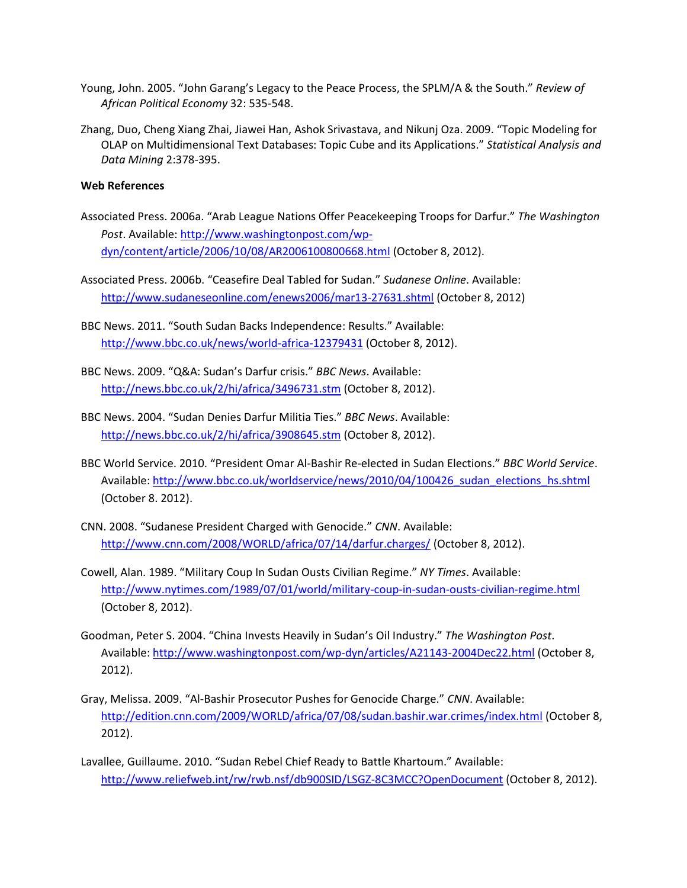- Young, John. 2005. "John Garang's Legacy to the Peace Process, the SPLM/A & the South." *Review of African Political Economy* 32: 535-548.
- Zhang, Duo, Cheng Xiang Zhai, Jiawei Han, Ashok Srivastava, and Nikunj Oza. 2009. "Topic Modeling for OLAP on Multidimensional Text Databases: Topic Cube and its Applications." *Statistical Analysis and Data Mining* 2:378-395.

#### **Web References**

- Associated Press. 2006a. "Arab League Nations Offer Peacekeeping Troops for Darfur." *The Washington Post*. Available: [http://www.washingtonpost.com/wp](http://www.washingtonpost.com/wp-dyn/content/article/2006/10/08/AR2006100800668.html)[dyn/content/article/2006/10/08/AR2006100800668.html](http://www.washingtonpost.com/wp-dyn/content/article/2006/10/08/AR2006100800668.html) (October 8, 2012).
- Associated Press. 2006b. "Ceasefire Deal Tabled for Sudan." *Sudanese Online*. Available: <http://www.sudaneseonline.com/enews2006/mar13-27631.shtml> (October 8, 2012)
- BBC News. 2011. "South Sudan Backs Independence: Results." Available: <http://www.bbc.co.uk/news/world-africa-12379431> (October 8, 2012).
- BBC News. 2009. "Q&A: Sudan's Darfur crisis." *BBC News*. Available: <http://news.bbc.co.uk/2/hi/africa/3496731.stm> (October 8, 2012).
- BBC News. 2004. "Sudan Denies Darfur Militia Ties." *BBC News*. Available: <http://news.bbc.co.uk/2/hi/africa/3908645.stm> (October 8, 2012).
- BBC World Service. 2010. "President Omar Al-Bashir Re-elected in Sudan Elections." *BBC World Service*. Available: [http://www.bbc.co.uk/worldservice/news/2010/04/100426\\_sudan\\_elections\\_hs.shtml](http://www.bbc.co.uk/worldservice/news/2010/04/100426_sudan_elections_hs.shtml) (October 8. 2012).
- CNN. 2008. "Sudanese President Charged with Genocide." *CNN*. Available: <http://www.cnn.com/2008/WORLD/africa/07/14/darfur.charges/> (October 8, 2012).
- Cowell, Alan. 1989. "Military Coup In Sudan Ousts Civilian Regime." *NY Times*. Available: <http://www.nytimes.com/1989/07/01/world/military-coup-in-sudan-ousts-civilian-regime.html> (October 8, 2012).
- Goodman, Peter S. 2004. "China Invests Heavily in Sudan's Oil Industry." *The Washington Post*. Available: <http://www.washingtonpost.com/wp-dyn/articles/A21143-2004Dec22.html> (October 8, 2012).
- Gray, Melissa. 2009. "Al-Bashir Prosecutor Pushes for Genocide Charge." *CNN*. Available: <http://edition.cnn.com/2009/WORLD/africa/07/08/sudan.bashir.war.crimes/index.html> (October 8, 2012).
- Lavallee, Guillaume. 2010. "Sudan Rebel Chief Ready to Battle Khartoum." Available: <http://www.reliefweb.int/rw/rwb.nsf/db900SID/LSGZ-8C3MCC?OpenDocument> (October 8, 2012).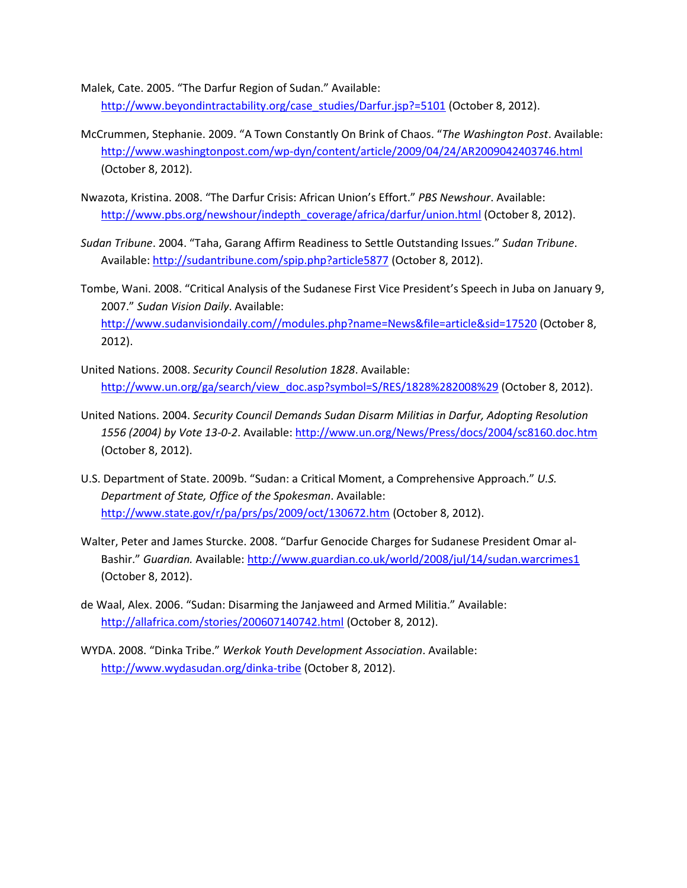Malek, Cate. 2005. "The Darfur Region of Sudan." Available: [http://www.beyondintractability.org/case\\_studies/Darfur.jsp?=5101](http://www.beyondintractability.org/case_studies/Darfur.jsp?=5101) (October 8, 2012).

- McCrummen, Stephanie. 2009. "A Town Constantly On Brink of Chaos. "*The Washington Post*. Available: <http://www.washingtonpost.com/wp-dyn/content/article/2009/04/24/AR2009042403746.html> (October 8, 2012).
- Nwazota, Kristina. 2008. "The Darfur Crisis: African Union's Effort." *PBS Newshour*. Available: [http://www.pbs.org/newshour/indepth\\_coverage/africa/darfur/union.html](http://www.pbs.org/newshour/indepth_coverage/africa/darfur/union.html) (October 8, 2012).
- *Sudan Tribune*. 2004. "Taha, Garang Affirm Readiness to Settle Outstanding Issues." *Sudan Tribune*. Available:<http://sudantribune.com/spip.php?article5877> (October 8, 2012).
- Tombe, Wani. 2008. "Critical Analysis of the Sudanese First Vice President's Speech in Juba on January 9, 2007." *Sudan Vision Daily*. Available: [http://www.sudanvisiondaily.com//modules.php?name=News&file=article&sid=17520](http://www.sudanvisiondaily.com/modules.php?name=News&file=article&sid=17520) (October 8, 2012).
- United Nations. 2008. *Security Council Resolution 1828*. Available: [http://www.un.org/ga/search/view\\_doc.asp?symbol=S/RES/1828%282008%29](http://www.un.org/ga/search/view_doc.asp?symbol=S/RES/1828%282008%29) (October 8, 2012).
- United Nations. 2004. *Security Council Demands Sudan Disarm Militias in Darfur, Adopting Resolution 1556 (2004) by Vote 13-0-2*. Available:<http://www.un.org/News/Press/docs/2004/sc8160.doc.htm> (October 8, 2012).
- U.S. Department of State. 2009b. "Sudan: a Critical Moment, a Comprehensive Approach." *U.S. Department of State, Office of the Spokesman*. Available: <http://www.state.gov/r/pa/prs/ps/2009/oct/130672.htm> (October 8, 2012).
- Walter, Peter and James Sturcke. 2008. "Darfur Genocide Charges for Sudanese President Omar al-Bashir." *Guardian.* Available:<http://www.guardian.co.uk/world/2008/jul/14/sudan.warcrimes1> (October 8, 2012).
- de Waal, Alex. 2006. "Sudan: Disarming the Janjaweed and Armed Militia." Available: <http://allafrica.com/stories/200607140742.html> (October 8, 2012).
- WYDA. 2008. "Dinka Tribe." *Werkok Youth Development Association*. Available: <http://www.wydasudan.org/dinka-tribe> (October 8, 2012).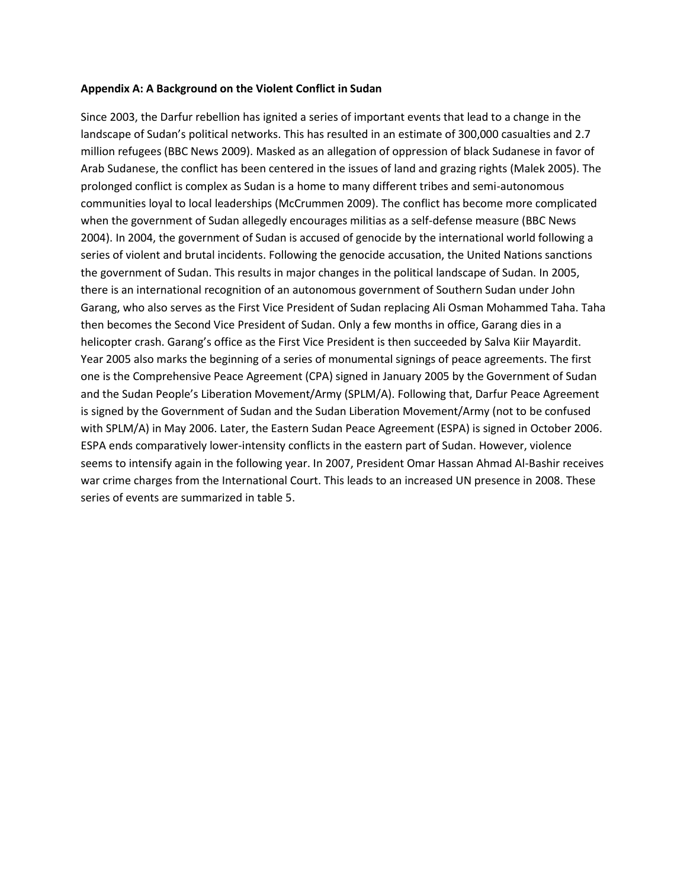#### **Appendix A: A Background on the Violent Conflict in Sudan**

Since 2003, the Darfur rebellion has ignited a series of important events that lead to a change in the landscape of Sudan's political networks. This has resulted in an estimate of 300,000 casualties and 2.7 million refugees (BBC News 2009). Masked as an allegation of oppression of black Sudanese in favor of Arab Sudanese, the conflict has been centered in the issues of land and grazing rights (Malek 2005). The prolonged conflict is complex as Sudan is a home to many different tribes and semi-autonomous communities loyal to local leaderships (McCrummen 2009). The conflict has become more complicated when the government of Sudan allegedly encourages militias as a self-defense measure (BBC News 2004). In 2004, the government of Sudan is accused of genocide by the international world following a series of violent and brutal incidents. Following the genocide accusation, the United Nations sanctions the government of Sudan. This results in major changes in the political landscape of Sudan. In 2005, there is an international recognition of an autonomous government of Southern Sudan under John Garang, who also serves as the First Vice President of Sudan replacing Ali Osman Mohammed Taha. Taha then becomes the Second Vice President of Sudan. Only a few months in office, Garang dies in a helicopter crash. Garang's office as the First Vice President is then succeeded by Salva Kiir Mayardit. Year 2005 also marks the beginning of a series of monumental signings of peace agreements. The first one is the Comprehensive Peace Agreement (CPA) signed in January 2005 by the Government of Sudan and the Sudan People's Liberation Movement/Army (SPLM/A). Following that, Darfur Peace Agreement is signed by the Government of Sudan and the Sudan Liberation Movement/Army (not to be confused with SPLM/A) in May 2006. Later, the Eastern Sudan Peace Agreement (ESPA) is signed in October 2006. ESPA ends comparatively lower-intensity conflicts in the eastern part of Sudan. However, violence seems to intensify again in the following year. In 2007, President Omar Hassan Ahmad Al-Bashir receives war crime charges from the International Court. This leads to an increased UN presence in 2008. These series of events are summarized in table 5.